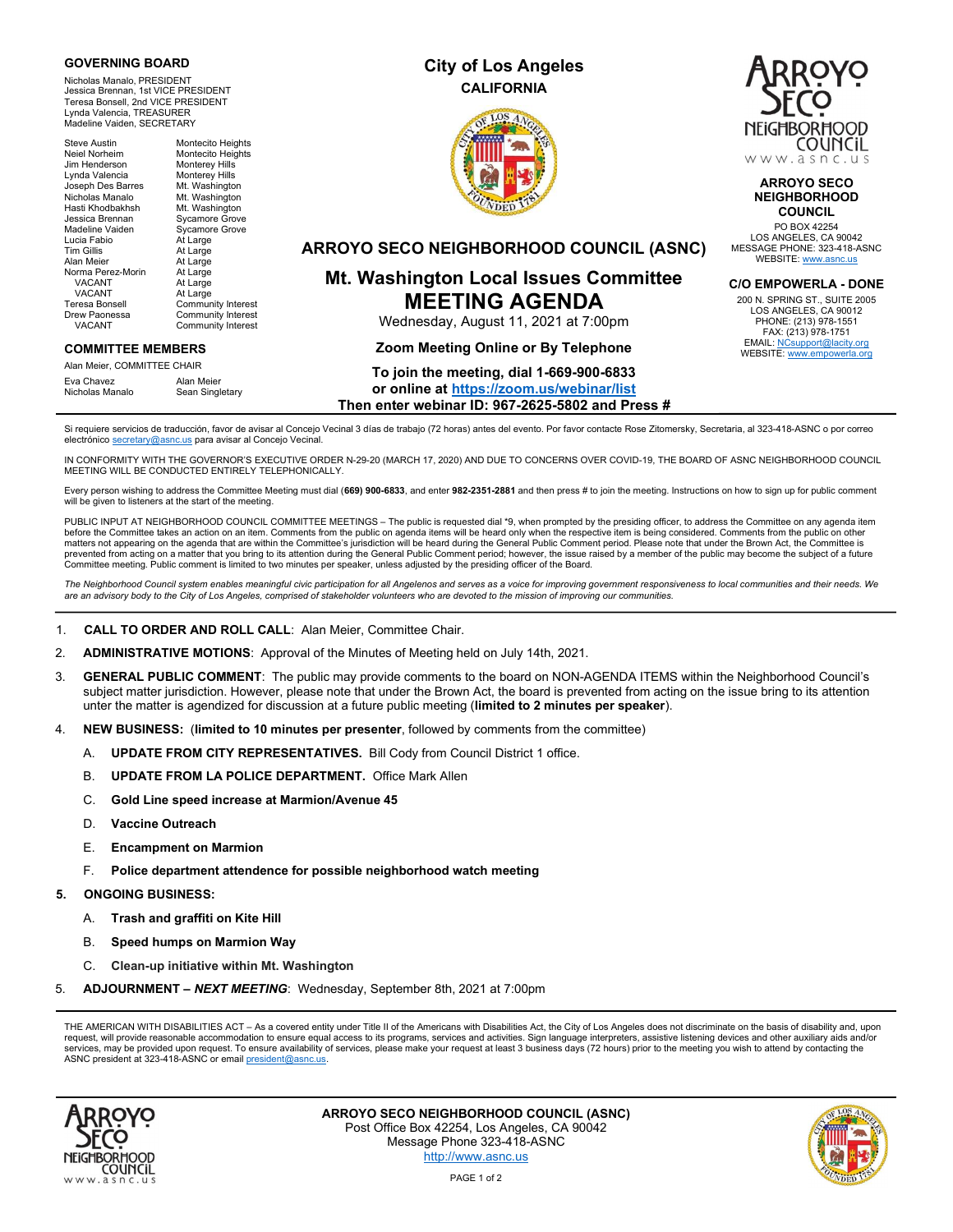### GOVERNING BOARD

Nicholas Manalo, PRESIDENT Jessica Brennan, 1st VICE PRESIDENT Teresa Bonsell, 2nd VICE PRESIDENT Lynda Valencia, TREASURER Madeline Vaiden, SECRETARY

Steve Austin Montecito Heights<br>
Neiel Norheim Montecito Heights Neiel<br>Montecito Heights<br>Monterey Hills Jim Henderson Monterey Hills<br>Lynda Valencia Monterey Hills Lynda Valencia Joseph Des Barres Mt. Washington nicholas Manalo Mt. Washington<br>Hasti Khodbakhsh Mt. Washington Hasti Khodbakhsh Mt. Washington Jessica Brennan Sycamore Grove Madeline Vaiden Sycamore Grove Lucia Fabio At Large Tim Gillis **At Large**<br>Alan Meier **At Large** At Large<br>At Large Norma Perez-Morin<br>VACANT At Large VACANT At Large<br>Teresa Bonsell Commun Teresa Bonsell Community Interest<br>
Drew Paonessa Community Interest rew Paonessa Community Interest<br>VACANT Community Interest Community Interest

### COMMITTEE MEMBERS

Alan Meier, COMMITTEE CHAIR Eva Chavez<br>Nicholas Manalo Sean Sing Sean Singletary

# City of Los Angeles **CALIFORNIA**





ARROYO SECO NEIGHBORHOOD **COUNCIL** 

PO BOX 42254 LOS ANGELES, CA 90042 MESSAGE PHONE: 323-418-ASNC WEBSITE: www.asnc.us

### C/O EMPOWERLA - DONE

200 N. SPRING ST., SUITE 2005 LOS ANGELES, CA 90012 PHONE: (213) 978-1551 FAX: (213) 978-1751 EMAIL: NCsupport@lacity.org<br>WEBSITE: www.empowerla.org

## ARROYO SECO NEIGHBORHOOD COUNCIL (ASNC)

# Mt. Washington Local Issues Committee MEETING AGENDA

Wednesday, August 11, 2021 at 7:00pm

### Zoom Meeting Online or By Telephone

# To join the meeting, dial 1-669-900-6833 or online at https://zoom.us/webinar/list

Then enter webinar ID: 967-2625-5802 and Press #

Si requiere servicios de traducción, favor de avisar al Concejo Vecinal 3 días de trabajo (72 horas) antes del evento. Por favor contacte Rose Zitomersky, Secretaria, al 323-418-ASNC o por correo electrónico secretary@asnc.us para avisar al Concejo Vecinal.

IN CONFORMITY WITH THE GOVERNOR'S EXECUTIVE ORDER N-29-20 (MARCH 17, 2020) AND DUE TO CONCERNS OVER COVID-19, THE BOARD OF ASNC NEIGHBORHOOD COUNCIL MEETING WILL BE CONDUCTED ENTIRELY TELEPHONICALLY.

Every person wishing to address the Committee Meeting must dial (669) 900-6833, and enter 982-2351-2881 and then press # to join the meeting. Instructions on how to sign up for public comment will be given to listeners at the start of the meeting.

PUBLIC INPUT AT NEIGHBORHOOD COUNCIL COMMITTEE MEETINGS - The public is requested dial \*9, when prompted by the presiding officer, to address the Committee on any agenda item before the Committee takes an action on an item. Comments from the public on agenda items will be heard only when the respective item is being considered. Comments from the public on other matters not appearing on the agenda that are within the Committee's jurisdiction will be heard during the General Public Comment period. Please note that under the Brown Act, the Committee is prevented from acting on a matter that you bring to its attention during the General Public Comment period; however, the issue raised by a member of the public may become the subject of a future<br>Committee meeting. Public c

The Neighborhood Council system enables meaningful civic participation for all Angelenos and serves as a voice for improving government responsiveness to local communities and their needs. We are an advisory body to the City of Los Angeles, comprised of stakeholder volunteers who are devoted to the mission of improving our communities.

- 1. CALL TO ORDER AND ROLL CALL: Alan Meier, Committee Chair.
- 2. ADMINISTRATIVE MOTIONS: Approval of the Minutes of Meeting held on July 14th, 2021.
- 3. GENERAL PUBLIC COMMENT: The public may provide comments to the board on NON-AGENDA ITEMS within the Neighborhood Council's subject matter jurisdiction. However, please note that under the Brown Act, the board is prevented from acting on the issue bring to its attention unter the matter is agendized for discussion at a future public meeting (limited to 2 minutes per speaker).
- 4. NEW BUSINESS: (limited to 10 minutes per presenter, followed by comments from the committee)
	- A. **UPDATE FROM CITY REPRESENTATIVES.** Bill Cody from Council District 1 office.
	- B. UPDATE FROM LA POLICE DEPARTMENT. Office Mark Allen
	- C. Gold Line speed increase at Marmion/Avenue 45
	- D. Vaccine Outreach
	- E. Encampment on Marmion
	- F. Police department attendence for possible neighborhood watch meeting

### 5. ONGOING BUSINESS:

- A. Trash and graffiti on Kite Hill
- B. Speed humps on Marmion Way
- C. Clean-up initiative within Mt. Washington
- 5. **ADJOURNMENT NEXT MEETING:** Wednesday, September 8th, 2021 at 7:00pm

THE AMERICAN WITH DISABILITIES ACT - As a covered entity under Title II of the Americans with Disabilities Act, the City of Los Angeles does not discriminate on the basis of disability and, upon request, will provide reasonable accommodation to ensure equal access to its programs, services and activities. Sign language interpreters, assistive listening devices and other auxiliary aids and/or services, may be provided upon request. To ensure availability of services, please make your request at least 3 business days (72 hours) prior to the meeting you wish to attend by contacting the ASNC president at 323-418-ASNC or email president@asnc.us.



ARROYO SECO NEIGHBORHOOD COUNCIL (ASNC) Post Office Box 42254, Los Angeles, CA 90042 Message Phone 323-418-ASNC http://www.asnc.us